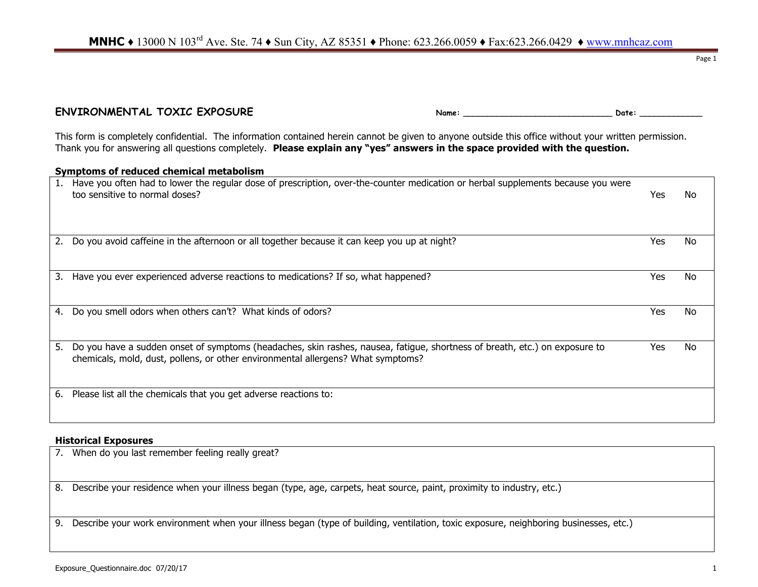ENVIRONMENTAL TOXIC EXPOSURE **Name:** Name: Name: Name: Name: Name: Nate: 2016: 2016

This form is completely confidential. The information contained herein cannot be given to anyone outside this office without your written permission. Thank you for answering all questions completely. **Please explain any "yes" answers in the space provided with the question.**

|    | Symptoms of reduced chemical metabolism                                                                                                                                                                        |     |    |  |  |  |  |
|----|----------------------------------------------------------------------------------------------------------------------------------------------------------------------------------------------------------------|-----|----|--|--|--|--|
| 1. | Have you often had to lower the regular dose of prescription, over-the-counter medication or herbal supplements because you were<br>too sensitive to normal doses?                                             | Yes | No |  |  |  |  |
| 2. | Do you avoid caffeine in the afternoon or all together because it can keep you up at night?                                                                                                                    | Yes | No |  |  |  |  |
| 3. | Have you ever experienced adverse reactions to medications? If so, what happened?                                                                                                                              | Yes | No |  |  |  |  |
| 4. | Do you smell odors when others can't? What kinds of odors?                                                                                                                                                     | Yes | No |  |  |  |  |
| 5. | Do you have a sudden onset of symptoms (headaches, skin rashes, nausea, fatigue, shortness of breath, etc.) on exposure to<br>chemicals, mold, dust, pollens, or other environmental allergens? What symptoms? | Yes | No |  |  |  |  |
| 6. | Please list all the chemicals that you get adverse reactions to:                                                                                                                                               |     |    |  |  |  |  |

#### **Historical Exposures**

| 7. When do you last remember feeling really great?                                                                                      |  |
|-----------------------------------------------------------------------------------------------------------------------------------------|--|
| 8. Describe your residence when your illness began (type, age, carpets, heat source, paint, proximity to industry, etc.)                |  |
|                                                                                                                                         |  |
| 9. Describe your work environment when your illness began (type of building, ventilation, toxic exposure, neighboring businesses, etc.) |  |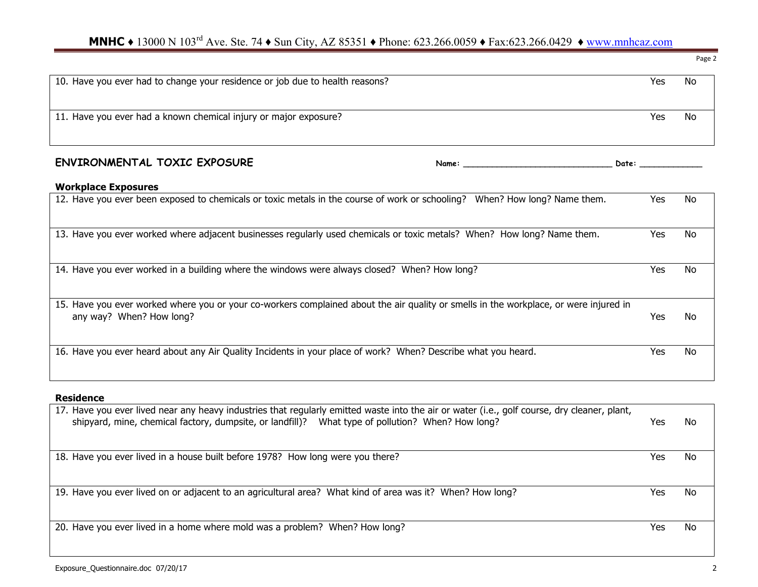# **MNHC** ♦ 13000 N 103<sup>rd</sup> Ave. Ste. 74 ♦ Sun City, AZ 85351 ♦ Phone: 623.266.0059 ♦ Fax:623.266.0429 ♦ www.mnhcaz.com

| 10. Have you ever had to change your residence or job due to health reasons?                                                                                                                                                                                          | Yes                                                                                                                                                                                                                            | <b>No</b> |
|-----------------------------------------------------------------------------------------------------------------------------------------------------------------------------------------------------------------------------------------------------------------------|--------------------------------------------------------------------------------------------------------------------------------------------------------------------------------------------------------------------------------|-----------|
|                                                                                                                                                                                                                                                                       |                                                                                                                                                                                                                                |           |
| 11. Have you ever had a known chemical injury or major exposure?                                                                                                                                                                                                      | Yes                                                                                                                                                                                                                            | No        |
|                                                                                                                                                                                                                                                                       |                                                                                                                                                                                                                                |           |
| <b>ENVIRONMENTAL TOXIC EXPOSURE</b><br>Name: the contract of the contract of the contract of the contract of the contract of the contract of the contract of the contract of the contract of the contract of the contract of the contract of the contract of the cont | Date: the contract of the contract of the contract of the contract of the contract of the contract of the contract of the contract of the contract of the contract of the contract of the contract of the contract of the cont |           |
| <b>Workplace Exposures</b>                                                                                                                                                                                                                                            |                                                                                                                                                                                                                                |           |
| 12. Have you ever been exposed to chemicals or toxic metals in the course of work or schooling? When? How long? Name them.                                                                                                                                            | Yes                                                                                                                                                                                                                            | No        |
|                                                                                                                                                                                                                                                                       |                                                                                                                                                                                                                                |           |
| 13. Have you ever worked where adjacent businesses regularly used chemicals or toxic metals? When? How long? Name them.                                                                                                                                               | Yes                                                                                                                                                                                                                            | No        |
|                                                                                                                                                                                                                                                                       |                                                                                                                                                                                                                                |           |
| 14. Have you ever worked in a building where the windows were always closed? When? How long?                                                                                                                                                                          | Yes                                                                                                                                                                                                                            | No        |
|                                                                                                                                                                                                                                                                       |                                                                                                                                                                                                                                |           |
| 15. Have you ever worked where you or your co-workers complained about the air quality or smells in the workplace, or were injured in                                                                                                                                 |                                                                                                                                                                                                                                |           |
| any way? When? How long?                                                                                                                                                                                                                                              | <b>Yes</b>                                                                                                                                                                                                                     | No        |
|                                                                                                                                                                                                                                                                       |                                                                                                                                                                                                                                |           |
| 16. Have you ever heard about any Air Quality Incidents in your place of work? When? Describe what you heard.                                                                                                                                                         | Yes                                                                                                                                                                                                                            | No        |
|                                                                                                                                                                                                                                                                       |                                                                                                                                                                                                                                |           |

#### **Residence**

| Yes  | No |
|------|----|
| Yes. | No |
|      |    |
| Yes  | No |
|      |    |
| Yes  | No |
|      |    |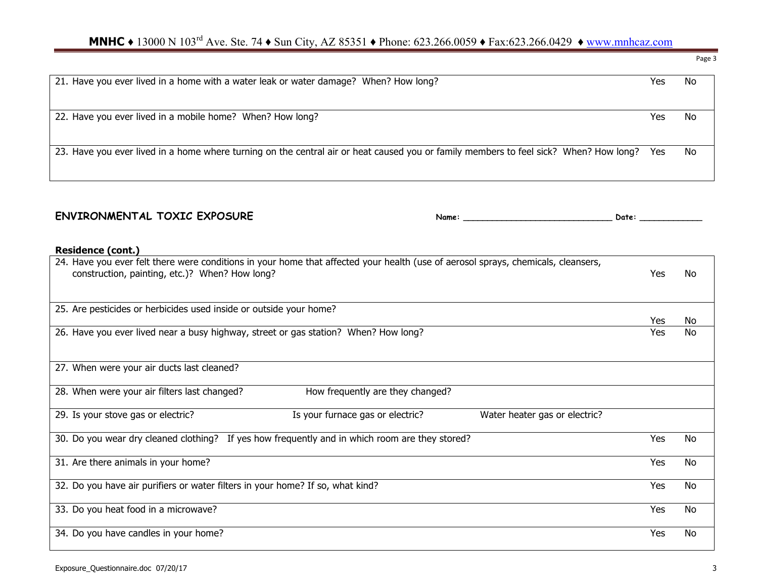# **MNHC ◆** 13000 N 103<sup>rd</sup> Ave. Ste. 74 ◆ Sun City, AZ 85351 ◆ Phone: 623.266.0059 ◆ Fax:623.266.0429 ◆ www.mnhcaz.com

21. Have you ever lived in a home with a water leak or water damage? When? How long? 22. Have you ever lived in a mobile home? When? How long? When we have not all the state of the No No No No No 23. Have you ever lived in a home where turning on the central air or heat caused you or family members to feel sick? When? How long? Yes No

### ENVIRONMENTAL TOXIC EXPOSURE Name: Name: Name: Name: Date: Date: 2011

#### **Residence (cont.)**

| 24. Have you ever felt there were conditions in your home that affected your health (use of aerosol sprays, chemicals, cleansers,<br>construction, painting, etc.)? When? How long? | Yes | No        |
|-------------------------------------------------------------------------------------------------------------------------------------------------------------------------------------|-----|-----------|
| 25. Are pesticides or herbicides used inside or outside your home?                                                                                                                  |     |           |
|                                                                                                                                                                                     | Yes | No        |
| 26. Have you ever lived near a busy highway, street or gas station? When? How long?                                                                                                 | Yes | No        |
|                                                                                                                                                                                     |     |           |
| 27. When were your air ducts last cleaned?                                                                                                                                          |     |           |
| How frequently are they changed?<br>28. When were your air filters last changed?                                                                                                    |     |           |
| Is your furnace gas or electric?<br>Water heater gas or electric?<br>29. Is your stove gas or electric?                                                                             |     |           |
| 30. Do you wear dry cleaned clothing? If yes how frequently and in which room are they stored?                                                                                      | Yes | <b>No</b> |
| 31. Are there animals in your home?                                                                                                                                                 | Yes | <b>No</b> |
| 32. Do you have air purifiers or water filters in your home? If so, what kind?                                                                                                      | Yes | No        |
| 33. Do you heat food in a microwave?                                                                                                                                                | Yes | No        |
| 34. Do you have candles in your home?                                                                                                                                               | Yes | No        |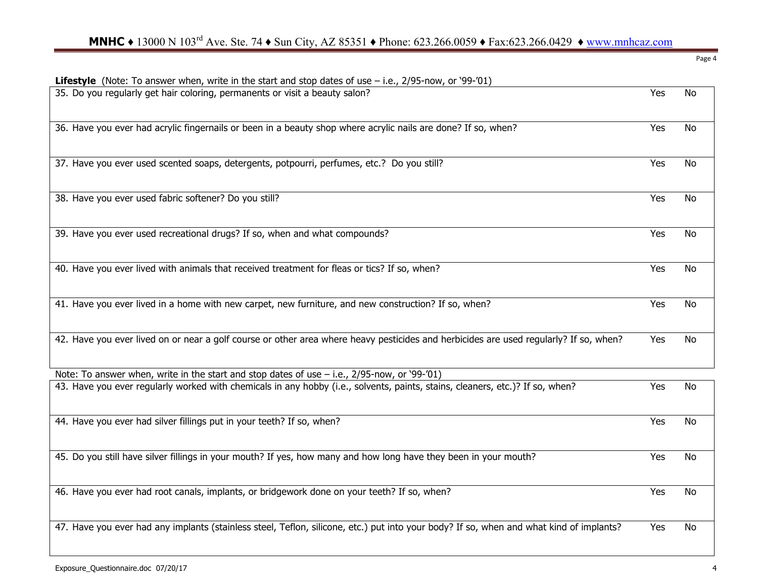| <b>Lifestyle</b> (Note: To answer when, write in the start and stop dates of use $-$ i.e., 2/95-now, or '99-'01)                        |     |           |
|-----------------------------------------------------------------------------------------------------------------------------------------|-----|-----------|
| 35. Do you regularly get hair coloring, permanents or visit a beauty salon?                                                             | Yes | <b>No</b> |
| 36. Have you ever had acrylic fingernails or been in a beauty shop where acrylic nails are done? If so, when?                           | Yes | <b>No</b> |
| 37. Have you ever used scented soaps, detergents, potpourri, perfumes, etc.? Do you still?                                              | Yes | <b>No</b> |
| 38. Have you ever used fabric softener? Do you still?                                                                                   | Yes | <b>No</b> |
| 39. Have you ever used recreational drugs? If so, when and what compounds?                                                              | Yes | <b>No</b> |
| 40. Have you ever lived with animals that received treatment for fleas or tics? If so, when?                                            | Yes | <b>No</b> |
| 41. Have you ever lived in a home with new carpet, new furniture, and new construction? If so, when?                                    | Yes | No        |
| 42. Have you ever lived on or near a golf course or other area where heavy pesticides and herbicides are used regularly? If so, when?   | Yes | No        |
| Note: To answer when, write in the start and stop dates of use $-$ i.e., 2/95-now, or '99-'01)                                          |     |           |
| 43. Have you ever regularly worked with chemicals in any hobby (i.e., solvents, paints, stains, cleaners, etc.)? If so, when?           | Yes | No        |
| 44. Have you ever had silver fillings put in your teeth? If so, when?                                                                   | Yes | <b>No</b> |
| 45. Do you still have silver fillings in your mouth? If yes, how many and how long have they been in your mouth?                        | Yes | <b>No</b> |
| 46. Have you ever had root canals, implants, or bridgework done on your teeth? If so, when?                                             | Yes | No        |
| 47. Have you ever had any implants (stainless steel, Teflon, silicone, etc.) put into your body? If so, when and what kind of implants? | Yes | No        |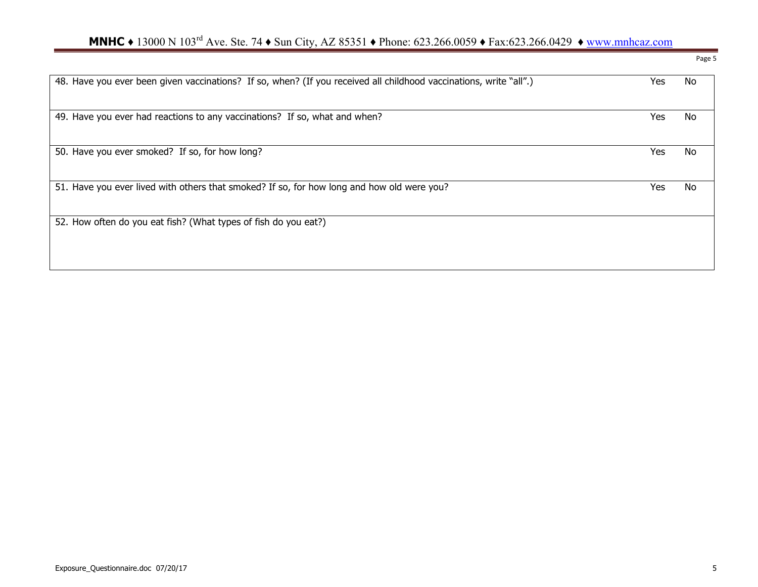# **MNHC** ♦ 13000 N 103<sup>rd</sup> Ave. Ste. 74 ♦ Sun City, AZ 85351 ♦ Phone: 623.266.0059 ♦ Fax:623.266.0429 ♦ www.mnhcaz.com

| 48. Have you ever been given vaccinations? If so, when? (If you received all childhood vaccinations, write "all".) | Yes | No |
|--------------------------------------------------------------------------------------------------------------------|-----|----|
| 49. Have you ever had reactions to any vaccinations? If so, what and when?                                         | Yes | No |
| 50. Have you ever smoked? If so, for how long?                                                                     | Yes | No |
| 51. Have you ever lived with others that smoked? If so, for how long and how old were you?                         | Yes | No |
| 52. How often do you eat fish? (What types of fish do you eat?)                                                    |     |    |
|                                                                                                                    |     |    |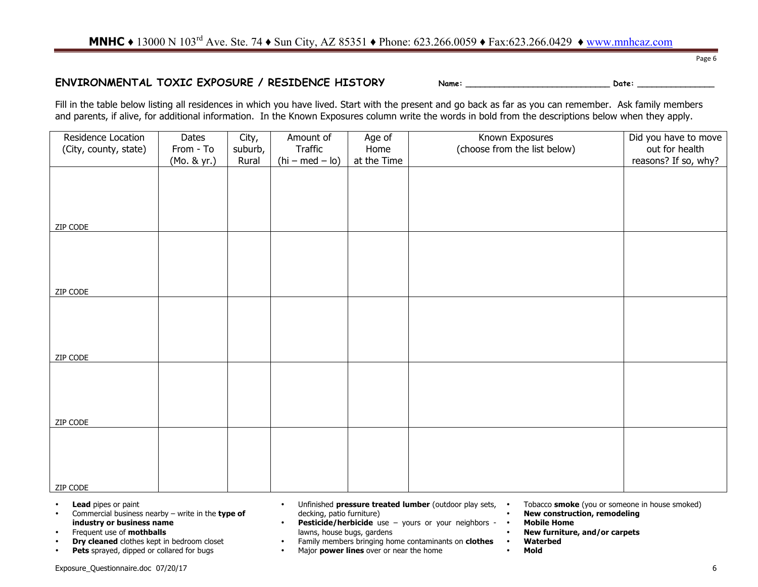## **MNHC ◆** 13000 N 103<sup>rd</sup> Ave. Ste. 74 ◆ Sun City, AZ 85351 ◆ Phone: 623.266.0059 ◆ Fax:623.266.0429 ◆ www.mnhcaz.com

#### **ENVIRONMENTAL TOXIC EXPOSURE / RESIDENCE HISTORY Name: \_\_\_\_\_\_\_\_\_\_\_\_\_\_\_\_\_\_\_\_\_\_\_\_\_\_\_\_\_\_ Date: \_\_\_\_\_\_\_\_\_\_\_\_\_\_\_\_**

Page 6

Fill in the table below listing all residences in which you have lived. Start with the present and go back as far as you can remember. Ask family members and parents, if alive, for additional information. In the Known Exposures column write the words in bold from the descriptions below when they apply.

| Residence Location    | Dates       | City,   | Amount of         | Age of      | Known Exposures              | Did you have to move |
|-----------------------|-------------|---------|-------------------|-------------|------------------------------|----------------------|
|                       |             |         |                   |             |                              |                      |
| (City, county, state) | From - To   | suburb, | Traffic           | Home        | (choose from the list below) | out for health       |
|                       | (Mo. & yr.) | Rural   | $(hi - med - lo)$ | at the Time |                              | reasons? If so, why? |
|                       |             |         |                   |             |                              |                      |
|                       |             |         |                   |             |                              |                      |
|                       |             |         |                   |             |                              |                      |
|                       |             |         |                   |             |                              |                      |
|                       |             |         |                   |             |                              |                      |
|                       |             |         |                   |             |                              |                      |
|                       |             |         |                   |             |                              |                      |
| ZIP CODE              |             |         |                   |             |                              |                      |
|                       |             |         |                   |             |                              |                      |
|                       |             |         |                   |             |                              |                      |
|                       |             |         |                   |             |                              |                      |
|                       |             |         |                   |             |                              |                      |
|                       |             |         |                   |             |                              |                      |
|                       |             |         |                   |             |                              |                      |
|                       |             |         |                   |             |                              |                      |
| ZIP CODE              |             |         |                   |             |                              |                      |
|                       |             |         |                   |             |                              |                      |
|                       |             |         |                   |             |                              |                      |
|                       |             |         |                   |             |                              |                      |
|                       |             |         |                   |             |                              |                      |
|                       |             |         |                   |             |                              |                      |
|                       |             |         |                   |             |                              |                      |
|                       |             |         |                   |             |                              |                      |
| ZIP CODE              |             |         |                   |             |                              |                      |
|                       |             |         |                   |             |                              |                      |
|                       |             |         |                   |             |                              |                      |
|                       |             |         |                   |             |                              |                      |
|                       |             |         |                   |             |                              |                      |
|                       |             |         |                   |             |                              |                      |
|                       |             |         |                   |             |                              |                      |
| ZIP CODE              |             |         |                   |             |                              |                      |
|                       |             |         |                   |             |                              |                      |
|                       |             |         |                   |             |                              |                      |
|                       |             |         |                   |             |                              |                      |
|                       |             |         |                   |             |                              |                      |
|                       |             |         |                   |             |                              |                      |
|                       |             |         |                   |             |                              |                      |
|                       |             |         |                   |             |                              |                      |
| ZIP CODE              |             |         |                   |             |                              |                      |

- **Lead** pipes or paint
- Commercial business nearby write in the **type of industry or business name**
- Frequent use of **mothballs**
- **Dry cleaned** clothes kept in bedroom closet<br>• **Pets** sprayed, dinned or collared for bugs
- Pets sprayed, dipped or collared for bugs
- Unfinished **pressure treated lumber** (outdoor play sets, decking, patio furniture)
- **Pesticide/herbicide** use yours or your neighbors lawns, house bugs, gardens
- Family members bringing home contaminants on **clothes**
- Major **power lines** over or near the home
- Tobacco **smoke** (you or someone in house smoked)
- **New construction, remodeling**
- **Mobile Home**
	- **New furniture, and/or carpets**
	- **Waterbed**
	- **Mold**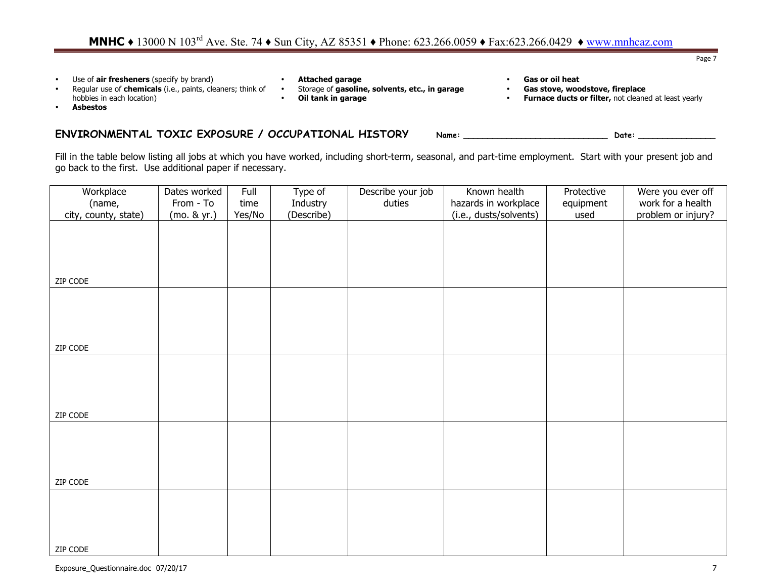Page 7

- Use of **air fresheners** (specify by brand)
- Regular use of **chemicals** (i.e., paints, cleaners; think of hobbies in each location)
- **Attached garage** 
	- Storage of **gasoline, solvents, etc., in garage**
	- **Oil tank in garage**
- **Gas or oil heat**
- **Gas stove, woodstove, fireplace**
- **Furnace ducts or filter,** not cleaned at least yearly

• **Asbestos**

### ENVIRONMENTAL TOXIC EXPOSURE / OCCUPATIONAL HISTORY Name: \_\_\_\_\_\_\_\_\_\_\_\_\_\_\_\_\_\_\_\_\_\_\_ Date:

Fill in the table below listing all jobs at which you have worked, including short-term, seasonal, and part-time employment. Start with your present job and go back to the first. Use additional paper if necessary.

| Workplace            | Dates worked | Full   | Type of    | Describe your job | Known health           | Protective | Were you ever off  |
|----------------------|--------------|--------|------------|-------------------|------------------------|------------|--------------------|
| (name,               | From - To    | time   | Industry   | duties            | hazards in workplace   | equipment  | work for a health  |
| city, county, state) | (mo. & yr.)  | Yes/No | (Describe) |                   | (i.e., dusts/solvents) | used       | problem or injury? |
|                      |              |        |            |                   |                        |            |                    |
|                      |              |        |            |                   |                        |            |                    |
|                      |              |        |            |                   |                        |            |                    |
|                      |              |        |            |                   |                        |            |                    |
|                      |              |        |            |                   |                        |            |                    |
| ZIP CODE             |              |        |            |                   |                        |            |                    |
|                      |              |        |            |                   |                        |            |                    |
|                      |              |        |            |                   |                        |            |                    |
|                      |              |        |            |                   |                        |            |                    |
|                      |              |        |            |                   |                        |            |                    |
|                      |              |        |            |                   |                        |            |                    |
| ZIP CODE             |              |        |            |                   |                        |            |                    |
|                      |              |        |            |                   |                        |            |                    |
|                      |              |        |            |                   |                        |            |                    |
|                      |              |        |            |                   |                        |            |                    |
|                      |              |        |            |                   |                        |            |                    |
|                      |              |        |            |                   |                        |            |                    |
| ZIP CODE             |              |        |            |                   |                        |            |                    |
|                      |              |        |            |                   |                        |            |                    |
|                      |              |        |            |                   |                        |            |                    |
|                      |              |        |            |                   |                        |            |                    |
|                      |              |        |            |                   |                        |            |                    |
|                      |              |        |            |                   |                        |            |                    |
| ZIP CODE             |              |        |            |                   |                        |            |                    |
|                      |              |        |            |                   |                        |            |                    |
|                      |              |        |            |                   |                        |            |                    |
|                      |              |        |            |                   |                        |            |                    |
|                      |              |        |            |                   |                        |            |                    |
|                      |              |        |            |                   |                        |            |                    |
| ZIP CODE             |              |        |            |                   |                        |            |                    |